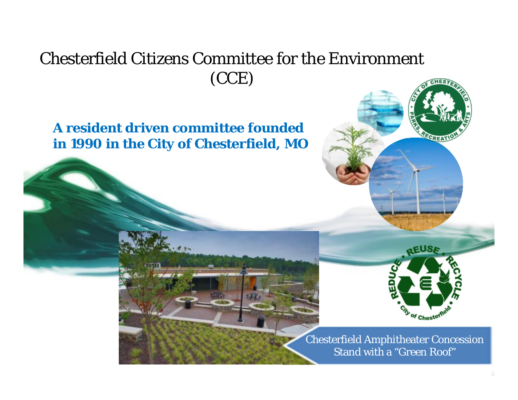### Chesterfield Citizens Committee for the Environment (CCE)

### **A resident driven committee founded in 1990 in the City of Chesterfield, MO**



Chesterfield Amphitheater Concession Stand with a "Green Roof"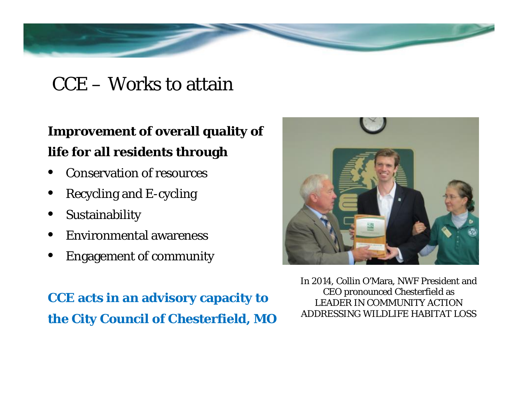### CCE – Works to attain

**Improvement of overall quality of life for all residents through**

- Conservation of resources
- Recycling and E-cycling
- **Sustainability**
- Environmental awareness
- Engagement of community

**CCE acts in an advisory capacity to the City Council of Chesterfield, MO**



In 2014, Collin O'Mara, NWF President and CEO pronounced Chesterfield as LEADER IN COMMUNITY ACTION ADDRESSING WILDLIFE HABITAT LOSS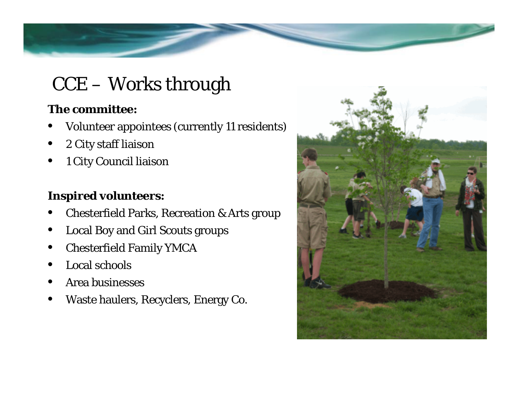# CCE – Works through

**The committee:**

- Volunteer appointees (currently 11 residents)
- 2 City staff liaison
- 1 City Council liaison

**Inspired volunteers:**

- Chesterfield Parks, Recreation & Arts group
- Local Boy and Girl Scouts groups
- Chesterfield Family YMCA
- Local schools
- Area businesses
- Waste haulers, Recyclers, Energy Co.

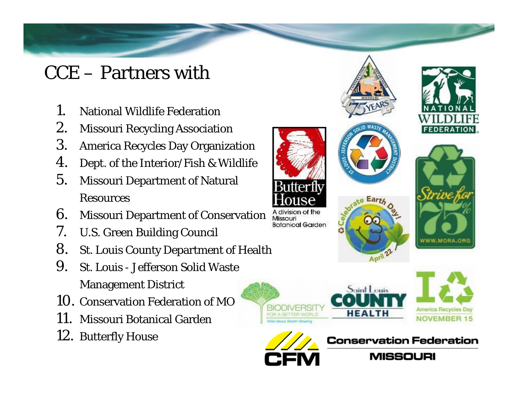# CCE – Partners with

- 1. National Wildlife Federation
- 2. Missouri Recycling Association
- 3. America Recycles Day Organization
- 4. Dept. of the Interior/Fish & Wildlife
- 5. Missouri Department of Natural Resources
- 6. Missouri Department of Conservation
- 7. U.S. Green Building Council
- 8. St. Louis County Department of Health
- 9. St. Louis Jefferson Solid Waste Management District
- 10. Conservation Federation of MO
- 11. Missouri Botanical Garden
- 12. Butterfly House



A division of the Missouri **Botanical Garden** 







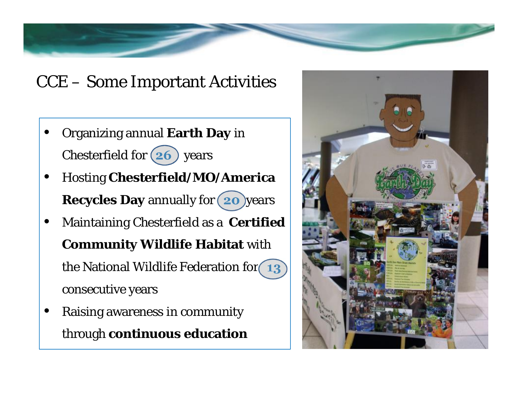### CCE – Some Important Activities

- Organizing annual **Earth Day** in Chesterfield for  $(26)$  years
- Hosting **Chesterfield/MO/America** Recycles Day annually for  $(20)$ years
- Maintaining Chesterfield as a **Certified Community Wildlife Habitat** with the National Wildlife Federation for 13 consecutive years
- Raising awareness in community through **continuous education**

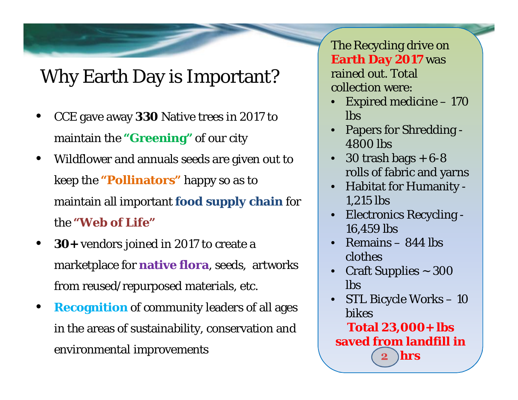# Why Earth Day is Important?

- CCE gave away **330** Native trees in 2017 to maintain the **"Greening"** of our city
- Wildflower and annuals seeds are given out to keep the **"Pollinators"** happy so as to maintain all important **food supply chain** for the **"Web of Life"**
- **30+** vendors joined in 2017 to create a marketplace for **native flora**, seeds, artworks from reused/repurposed materials, etc.
- **Recognition** of community leaders of all ages in the areas of sustainability, conservation and environmental improvements

The Recycling drive on **Earth Day 2017** was rained out. Total collection were:

- Expired medicine 170 lbs
- Papers for Shredding 4800 lbs
- 30 trash bags  $+ 6 8$ rolls of fabric and yarns
- Habitat for Humanity 1,215 lbs
- Electronics Recycling 16,459 lbs
- Remains 844 lbs clothes
- Craft Supplies ~ 300 lbs
- STL Bicycle Works 10 bikes

**Total 23,000+ lbs saved from landfill in 2 hrs**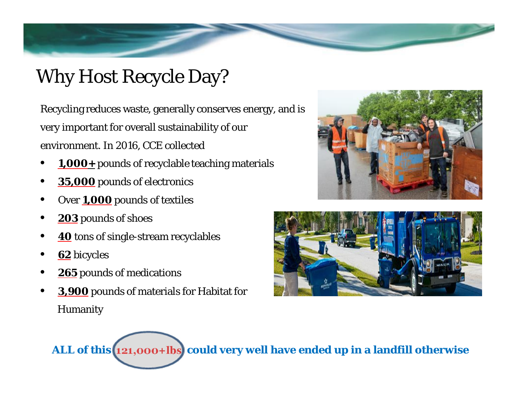# Why Host Recycle Day?

Recycling reduces waste, generally conserves energy, and is very important for overall sustainability of our environment. In 2016, CCE collected

- **1,000+** pounds of recyclable teaching materials
- **35,000** pounds of electronics
- Over **1,000** pounds of textiles
- **203** pounds of shoes
- **40** tons of single-stream recyclables
- **62** bicycles
- **265** pounds of medications
- **3,900** pounds of materials for Habitat for Humanity





**ALL of this 121,000+lbs could very well have ended up in a landfill otherwise**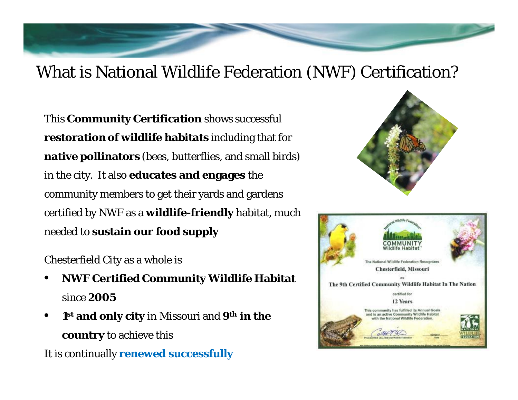### What is National Wildlife Federation (NWF) Certification?

This **Community Certification** shows successful **restoration of wildlife habitats** including that for **native pollinators** (bees, butterflies, and small birds) in the city. It also **educates and engages** the community members to get their yards and gardens certified by NWF as a **wildlife-friendly** habitat, much needed to **sustain our food supply**

#### Chesterfield City as a whole is

- **NWF Certified Community Wildlife Habitat** since **2005**
- **1 st and only city** in Missouri and **9th in the country** to achieve this

It is continually **renewed successfully**



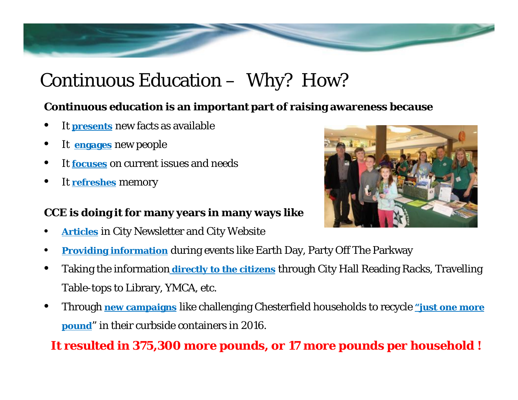# Continuous Education – Why? How?

**Continuous education is an important part of raising awareness because**

- It **presents** new facts as available
- It **engages** new people
- It **focuses** on current issues and needs
- It **refreshes** memory

**CCE is doing it for many years in many ways like**

**Articles** in City Newsletter and City Website



- Taking the information **directly to the citizens** through City Hall Reading Racks, Travelling Table-tops to Library, YMCA, etc.
- Through **new campaigns** like challenging Chesterfield households to recycle **"just one more pound**" in their curbside containers in 2016.

**It resulted in 375,300 more pounds, or 17 more pounds per household !**

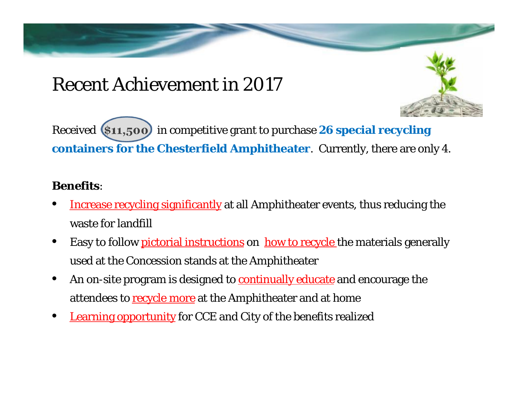### Recent Achievement in 2017

Received **\$11,500** in competitive grant to purchase **26 special recycling containers for the Chesterfield Amphitheater**. Currently, there are only 4.

### **Benefits**:

- Increase recycling significantly at all Amphitheater events, thus reducing the waste for landfill
- Easy to follow *pictorial instructions* on how to recycle the materials generally used at the Concession stands at the Amphitheater
- An on-site program is designed to **continually educate** and encourage the attendees to recycle more at the Amphitheater and at home
- **Learning opportunity** for CCE and City of the benefits realized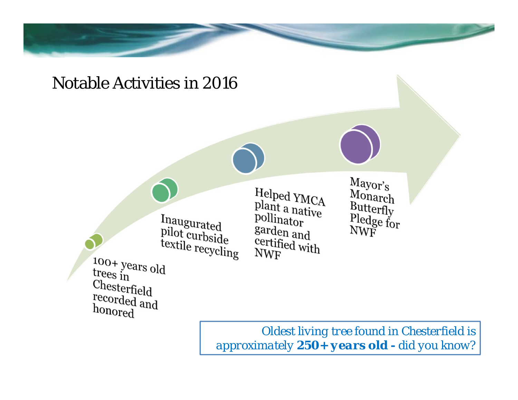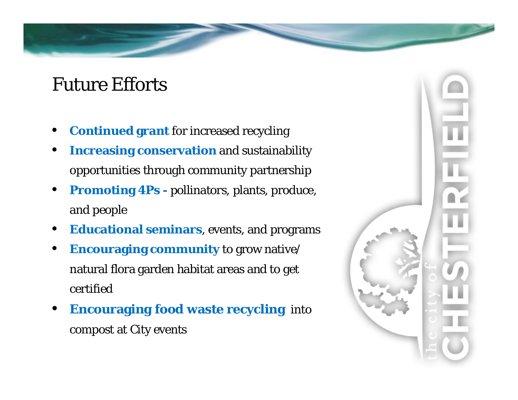### Future Efforts

- **Continued grant** for increased recycling
- **Increasing conservation** and sustainability opportunities through community partnership
- **Promoting 4Ps -** pollinators, plants, produce, and people
- **Educational seminars**, events, and programs
- **Encouraging community** to grow native/ natural flora garden habitat areas and to get certified
- **Encouraging food waste recycling** into compost at City events

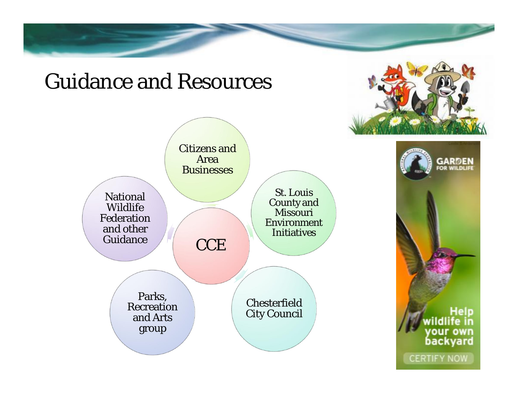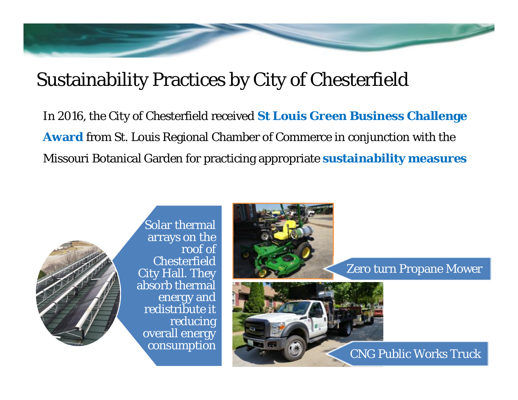# Sustainability Practices by City of Chesterfield

In 2016, the City of Chesterfield received **St Louis Green Business Challenge Award** from St. Louis Regional Chamber of Commerce in conjunction with the Missouri Botanical Garden for practicing appropriate **sustainability measures**



Solar thermal arrays on the roof of Chesterfield City Hall. They absorb thermal energy and redistribute it reducing overall energy consumption



Zero turn Propane Mower